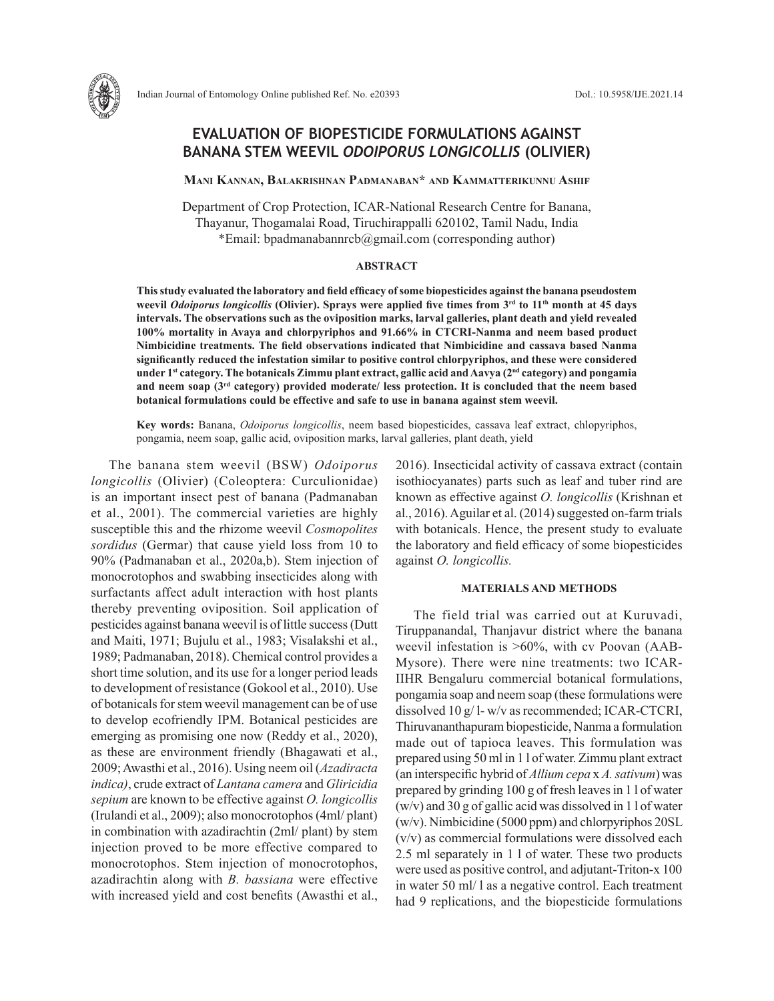# **EVALUATION OF BIOPESTICIDE FORMULATIONS AGAINST BANANA STEM WEEVIL** *ODOIPORUS LONGICOLLIS* **(OLIVIER)**

**Mani Kannan, Balakrishnan Padmanaban\* and Kammatterikunnu Ashif**

Department of Crop Protection, ICAR-National Research Centre for Banana, Thayanur, Thogamalai Road, Tiruchirappalli 620102, Tamil Nadu, India \*Email: bpadmanabannrcb@gmail.com (corresponding author)

## **ABSTRACT**

**This study evaluated the laboratory and field efficacy of some biopesticides against the banana pseudostem weevil** *Odoiporus longicollis* **(Olivier). Sprays were applied five times from 3rd to 11th month at 45 days intervals. The observations such as the oviposition marks, larval galleries, plant death and yield revealed 100% mortality in Avaya and chlorpyriphos and 91.66% in CTCRI-Nanma and neem based product Nimbicidine treatments. The field observations indicated that Nimbicidine and cassava based Nanma significantly reduced the infestation similar to positive control chlorpyriphos, and these were considered under 1st category. The botanicals Zimmu plant extract, gallic acid and Aavya (2nd category) and pongamia and neem soap (3rd category) provided moderate/ less protection. It is concluded that the neem based botanical formulations could be effective and safe to use in banana against stem weevil.**

**Key words:** Banana, *Odoiporus longicollis*, neem based biopesticides, cassava leaf extract, chlopyriphos, pongamia, neem soap, gallic acid, oviposition marks, larval galleries, plant death, yield

The banana stem weevil (BSW) *Odoiporus longicollis* (Olivier) (Coleoptera: Curculionidae) is an important insect pest of banana (Padmanaban et al., 2001). The commercial varieties are highly susceptible this and the rhizome weevil *Cosmopolites sordidus* (Germar) that cause yield loss from 10 to 90% (Padmanaban et al., 2020a,b). Stem injection of monocrotophos and swabbing insecticides along with surfactants affect adult interaction with host plants thereby preventing oviposition. Soil application of pesticides against banana weevil is of little success (Dutt and Maiti, 1971; Bujulu et al., 1983; Visalakshi et al., 1989; Padmanaban, 2018). Chemical control provides a short time solution, and its use for a longer period leads to development of resistance (Gokool et al., 2010). Use of botanicals for stem weevil management can be of use to develop ecofriendly IPM. Botanical pesticides are emerging as promising one now (Reddy et al., 2020), as these are environment friendly (Bhagawati et al., 2009; Awasthi et al., 2016). Using neem oil (*Azadiracta indica)*, crude extract of *Lantana camera* and *Gliricidia sepium* are known to be effective against *O. longicollis*  (Irulandi et al., 2009); also monocrotophos (4ml/ plant) in combination with azadirachtin (2ml/ plant) by stem injection proved to be more effective compared to monocrotophos. Stem injection of monocrotophos, azadirachtin along with *B. bassiana* were effective with increased yield and cost benefits (Awasthi et al.,

2016). Insecticidal activity of cassava extract (contain isothiocyanates) parts such as leaf and tuber rind are known as effective against *O. longicollis* (Krishnan et al., 2016). Aguilar et al. (2014) suggested on-farm trials with botanicals. Hence, the present study to evaluate the laboratory and field efficacy of some biopesticides against *O. longicollis.*

## **MATERIALS AND METHODS**

The field trial was carried out at Kuruvadi, Tiruppanandal, Thanjavur district where the banana weevil infestation is >60%, with cv Poovan (AAB-Mysore). There were nine treatments: two ICAR-IIHR Bengaluru commercial botanical formulations, pongamia soap and neem soap (these formulations were dissolved 10 g/ l- w/v as recommended; ICAR-CTCRI, Thiruvananthapuram biopesticide, Nanma a formulation made out of tapioca leaves. This formulation was prepared using 50 ml in 1 l of water. Zimmu plant extract (an interspecific hybrid of *Allium cepa* x *A. sativum*) was prepared by grinding 100 g of fresh leaves in 1 l of water (w/v) and 30 g of gallic acid was dissolved in 1 l of water (w/v). Nimbicidine (5000 ppm) and chlorpyriphos 20SL (v/v) as commercial formulations were dissolved each 2.5 ml separately in 1 l of water. These two products were used as positive control, and adjutant-Triton-x 100 in water 50 ml/ l as a negative control. Each treatment had 9 replications, and the biopesticide formulations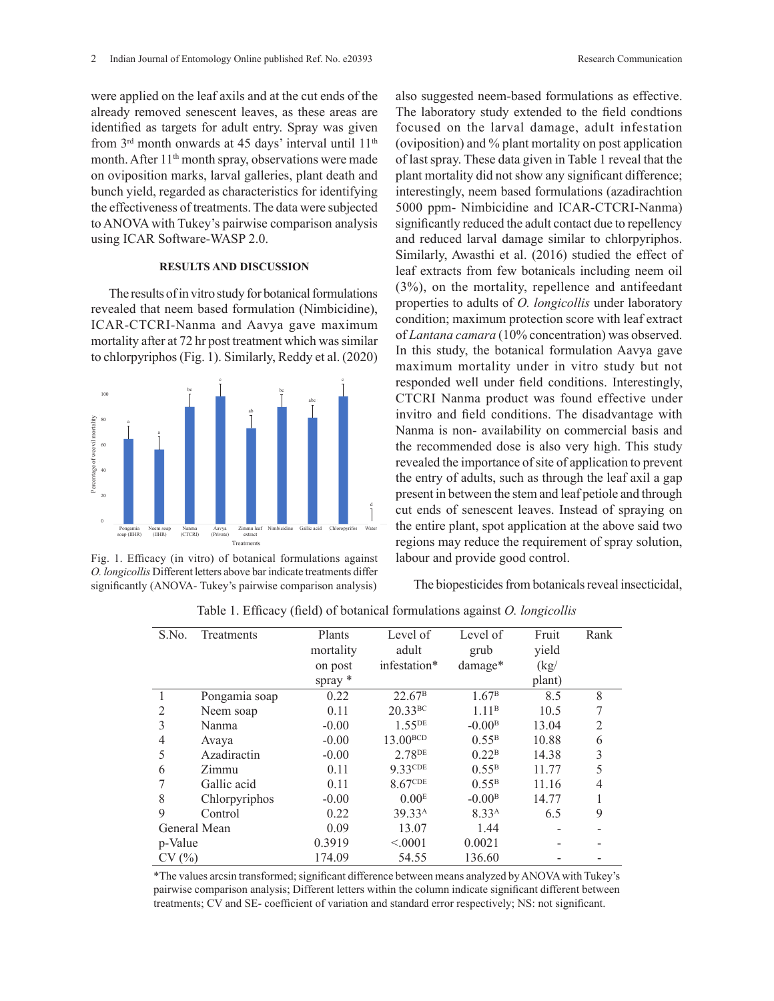were applied on the leaf axils and at the cut ends of the already removed senescent leaves, as these areas are identified as targets for adult entry. Spray was given from 3rd month onwards at 45 days' interval until 11th month. After  $11<sup>th</sup>$  month spray, observations were made on oviposition marks, larval galleries, plant death and bunch yield, regarded as characteristics for identifying the effectiveness of treatments. The data were subjected to ANOVA with Tukey's pairwise comparison analysis using ICAR Software-WASP 2.0.

### **RESULTS AND DISCUSSION**

The results of in vitro study for botanical formulations revealed that neem based formulation (Nimbicidine), ICAR-CTCRI-Nanma and Aavya gave maximum mortality after at 72 hr post treatment which was similar to chlorpyriphos (Fig. 1). Similarly, Reddy et al. (2020)



Fig. 1. Efficacy (in vitro) of botanical formulations against O. longicollis Different letters above bar indicate treatments differ (ANOVA- Tukey's pairwise comparison analysis) significantly (ANOVA- Tukey's pairwise comparison analysis)

also suggested neem-based formulations as effective. The laboratory study extended to the field condtions focused on the larval damage, adult infestation (oviposition) and % plant mortality on post application of last spray. These data given in Table 1 reveal that the plant mortality did not show any significant difference; interestingly, neem based formulations (azadirachtion 5000 ppm- Nimbicidine and ICAR-CTCRI-Nanma) significantly reduced the adult contact due to repellency and reduced larval damage similar to chlorpyriphos. Similarly, Awasthi et al. (2016) studied the effect of leaf extracts from few botanicals including neem oil (3%), on the mortality, repellence and antifeedant properties to adults of *O. longicollis* under laboratory condition; maximum protection score with leaf extract of *Lantana camara* (10% concentration) was observed. In this study, the botanical formulation Aavya gave maximum mortality under in vitro study but not responded well under field conditions. Interestingly, CTCRI Nanma product was found effective under invitro and field conditions. The disadvantage with Nanma is non- availability on commercial basis and the recommended dose is also very high. This study revealed the importance of site of application to prevent the entry of adults, such as through the leaf axil a gap present in between the stem and leaf petiole and through cut ends of senescent leaves. Instead of spraying on the entire plant, spot application at the above said two regions may reduce the requirement of spray solution, labour and provide good control.

The biopesticides from botanicals reveal insecticidal,

| S.No.   | Treatments    | Plants    | Level of              | Level of          | Fruit  | Rank |
|---------|---------------|-----------|-----------------------|-------------------|--------|------|
|         |               | mortality | adult                 | grub              | yield  |      |
|         |               | on post   | infestation*          | damage*           | (kg)   |      |
|         |               | spray $*$ |                       |                   | plant) |      |
|         | Pongamia soap | 0.22      | $22.67^{\rm B}$       | 1.67 <sup>B</sup> | 8.5    | 8    |
| 2       | Neem soap     | 0.11      | $20.33$ <sub>BC</sub> | 1.11 <sup>B</sup> | 10.5   | 7    |
| 3       | Nanma         | $-0.00$   | $1.55^{DE}$           | $-0.00B$          | 13.04  | 2    |
| 4       | Avaya         | $-0.00$   | 13.00 <sup>BCD</sup>  | $0.55^{\rm B}$    | 10.88  | 6    |
| 5       | Azadiractin   | $-0.00$   | 2.78 <sup>DE</sup>    | 0.22 <sup>B</sup> | 14.38  | 3    |
| 6       | Zimmu         | 0.11      | 9.33CDE               | $0.55^{\rm B}$    | 11.77  |      |
|         | Gallic acid   | 0.11      | 8.67CDE               | $0.55^{\rm B}$    | 11.16  | 4    |
| 8       | Chlorpyriphos | $-0.00$   | 0.00 <sup>E</sup>     | $-0.00B$          | 14.77  |      |
| 9       | Control       | 0.22      | 39.33 <sup>A</sup>    | 8.33 <sup>A</sup> | 6.5    | 9    |
|         | General Mean  | 0.09      | 13.07                 | 1.44              |        |      |
| p-Value |               | 0.3919    | < 0001                | 0.0021            |        |      |
| CV(%)   |               | 174.09    | 54.55                 | 136.60            |        |      |

Table 1. Efficacy (field) of botanical formulations against *O. longicollis* Table 1. Efficacy (field) of botanical formulations against *O. longicollis*

\*The values arcsin transformed; significant difference between means analyzed by ANOVA with Tukey's pairwise comparison analysis; Different letters within the column indicate significant different between treatments; CV and SE- coefficient of variation and standard error respectively; NS: not significant.